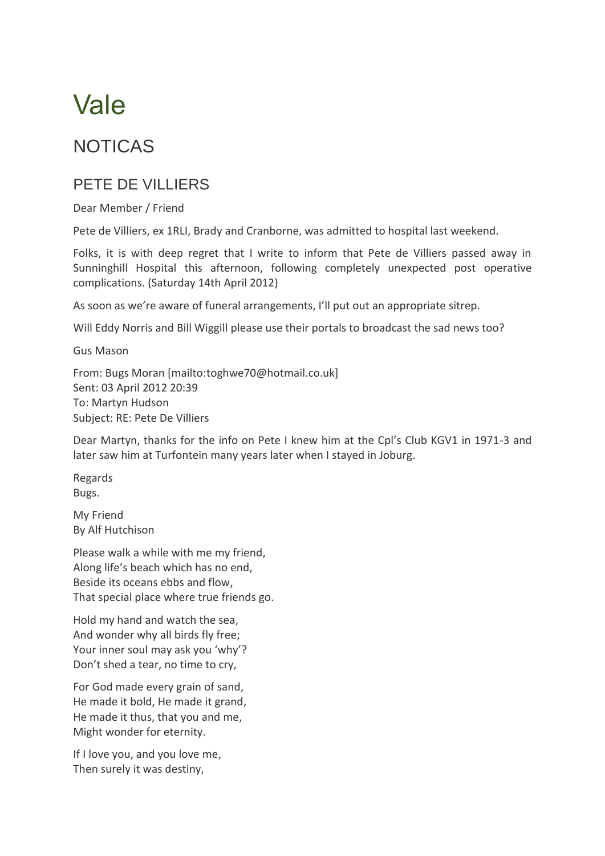## Vale

## NOTICAS

## PETE DE VILLIERS

Dear Member / Friend

Pete de Villiers, ex 1RLI, Brady and Cranborne, was admitted to hospital last weekend.

Folks, it is with deep regret that I write to inform that Pete de Villiers passed away in Sunninghill Hospital this afternoon, following completely unexpected post operative complications. (Saturday 14th April 2012)

As soon as we're aware of funeral arrangements, I'll put out an appropriate sitrep.

Will Eddy Norris and Bill Wiggill please use their portals to broadcast the sad news too?

Gus Mason

From: Bugs Moran [mailto:toghwe70@hotmail.co.uk] Sent: 03 April 2012 20:39 To: Martyn Hudson Subject: RE: Pete De Villiers

Dear Martyn, thanks for the info on Pete I knew him at the Cpl's Club KGV1 in 1971-3 and later saw him at Turfontein many years later when I stayed in Joburg.

Regards Bugs.

My Friend By Alf Hutchison

Please walk a while with me my friend, Along life's beach which has no end, Beside its oceans ebbs and flow, That special place where true friends go.

Hold my hand and watch the sea, And wonder why all birds fly free; Your inner soul may ask you 'why'? Don't shed a tear, no time to cry,

For God made every grain of sand, He made it bold, He made it grand, He made it thus, that you and me, Might wonder for eternity.

If I love you, and you love me, Then surely it was destiny,